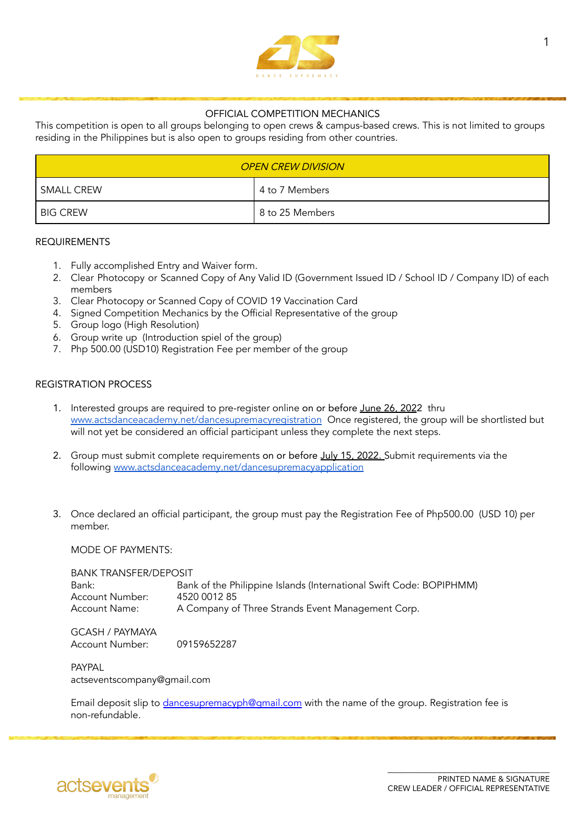

# OFFICIAL COMPETITION MECHANICS

This competition is open to all groups belonging to open crews & campus-based crews. This is not limited to groups residing in the Philippines but is also open to groups residing from other countries.

| <b>OPEN CREW DIVISION</b> |                 |  |
|---------------------------|-----------------|--|
| <b>SMALL CREW</b>         | 4 to 7 Members  |  |
| <b>BIG CREW</b>           | 8 to 25 Members |  |

## REQUIREMENTS

- 1. Fully accomplished Entry and Waiver form.
- 2. Clear Photocopy or Scanned Copy of Any Valid ID (Government Issued ID / School ID / Company ID) of each members
- 3. Clear Photocopy or Scanned Copy of COVID 19 Vaccination Card
- 4. Signed Competition Mechanics by the Official Representative of the group
- 5. Group logo (High Resolution)
- 6. Group write up (Introduction spiel of the group)
- 7. Php 500.00 (USD10) Registration Fee per member of the group

# REGISTRATION PROCESS

- 1. Interested groups are required to pre-register online on or before June 26, 2022 thru [www.actsdanceacademy.net/dancesupremacyregistration](http://www.actsdanceacademy.net/dancesupremacyregistration) Once registered, the group will be shortlisted but will not yet be considered an official participant unless they complete the next steps.
- 2. Group must submit complete requirements on or before July 15, 2022. Submit requirements via the following [www.actsdanceacademy.net/dancesupremacyapplication](https://forms.gle/GntejMshSQ38EmZJ7)
- 3. Once declared an official participant, the group must pay the Registration Fee of Php500.00 (USD 10) per member.

MODE OF PAYMENTS:

BANK TRANSFER/DEPOSIT Bank: Bank of the Philippine Islands (International Swift Code: BOPIPHMM) Account Number: 4520 0012 85<br>Account Name: A Company o A Company of Three Strands Event Management Corp.

GCASH / PAYMAYA Account Number: 09159652287

**PAYPAI** actseventscompany@gmail.com

Email deposit slip to [dancesupremacyph@gmail.com](mailto:dancesupremacyph@gmail.com) with the name of the group. Registration fee is non-refundable.

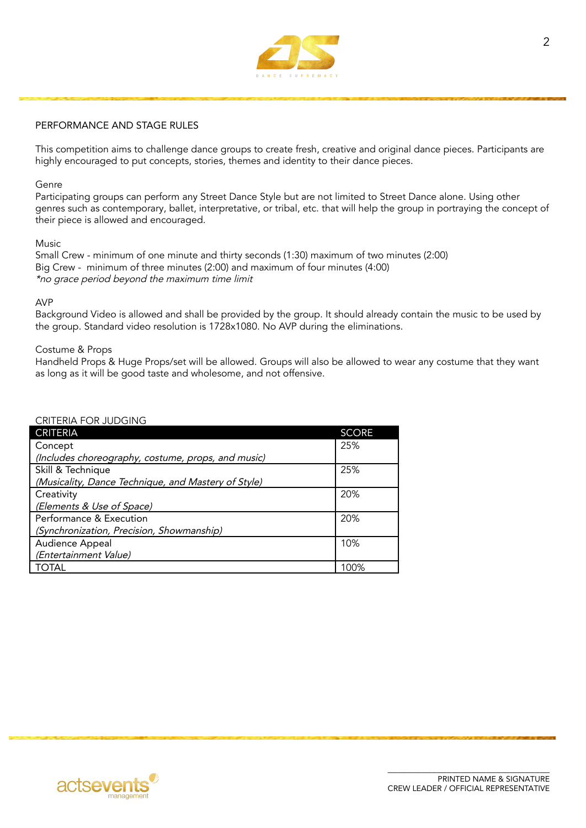

# PERFORMANCE AND STAGE RULES

This competition aims to challenge dance groups to create fresh, creative and original dance pieces. Participants are highly encouraged to put concepts, stories, themes and identity to their dance pieces.

### Genre

Participating groups can perform any Street Dance Style but are not limited to Street Dance alone. Using other genres such as contemporary, ballet, interpretative, or tribal, etc. that will help the group in portraying the concept of their piece is allowed and encouraged.

#### Music

Small Crew - minimum of one minute and thirty seconds (1:30) maximum of two minutes (2:00) Big Crew - minimum of three minutes (2:00) and maximum of four minutes (4:00) \*no grace period beyond the maximum time limit

## AVP

Background Video is allowed and shall be provided by the group. It should already contain the music to be used by the group. Standard video resolution is 1728x1080. No AVP during the eliminations.

#### Costume & Props

Handheld Props & Huge Props/set will be allowed. Groups will also be allowed to wear any costume that they want as long as it will be good taste and wholesome, and not offensive.

| <b>CRITERIA</b>                                     | <b>SCORE</b> |
|-----------------------------------------------------|--------------|
| Concept                                             | 25%          |
| (Includes choreography, costume, props, and music)  |              |
| Skill & Technique                                   | 25%          |
| (Musicality, Dance Technique, and Mastery of Style) |              |
| Creativity                                          | 20%          |
| (Elements & Use of Space)                           |              |
| Performance & Execution                             | 20%          |
| (Synchronization, Precision, Showmanship)           |              |
| Audience Appeal                                     | 10%          |
| (Entertainment Value)                               |              |
| 'OTAL                                               | 100%         |

#### CRITERIA FOR JUDGING

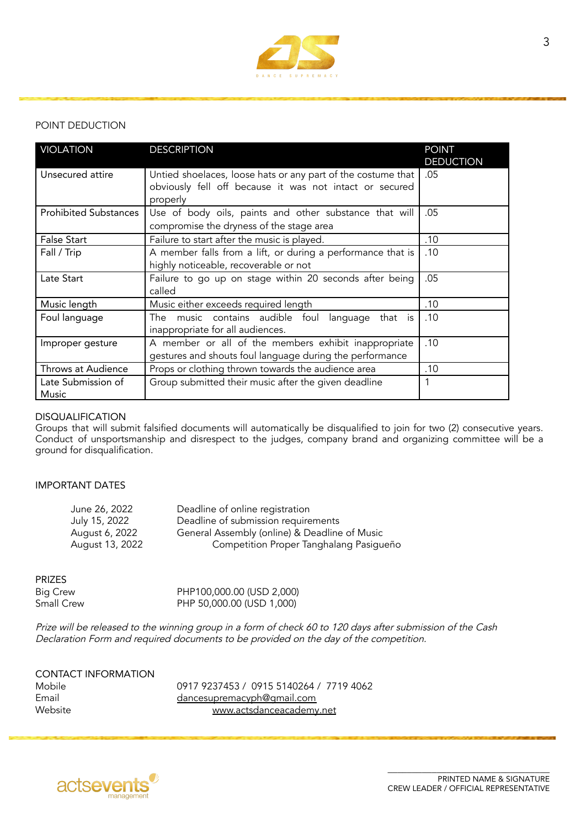

# POINT DEDUCTION

| <b>VIOLATION</b>             | <b>DESCRIPTION</b>                                                  | <b>POINT</b><br><b>DEDUCTION</b> |
|------------------------------|---------------------------------------------------------------------|----------------------------------|
| Unsecured attire             | Untied shoelaces, loose hats or any part of the costume that        | .05                              |
|                              | obviously fell off because it was not intact or secured<br>properly |                                  |
| <b>Prohibited Substances</b> | Use of body oils, paints and other substance that will              | .05                              |
|                              | compromise the dryness of the stage area                            |                                  |
| <b>False Start</b>           | Failure to start after the music is played.                         | .10                              |
| Fall / Trip                  | A member falls from a lift, or during a performance that is         | .10                              |
|                              | highly noticeable, recoverable or not                               |                                  |
| Late Start                   | Failure to go up on stage within 20 seconds after being             | .05                              |
|                              | called                                                              |                                  |
| Music length                 | Music either exceeds required length                                | .10                              |
| Foul language                | The music contains audible foul<br>that is<br>language              | .10                              |
|                              | inappropriate for all audiences.                                    |                                  |
| Improper gesture             | A member or all of the members exhibit inappropriate                | .10                              |
|                              | gestures and shouts foul language during the performance            |                                  |
| Throws at Audience           | Props or clothing thrown towards the audience area                  | .10                              |
| Late Submission of           | Group submitted their music after the given deadline                |                                  |
| Music                        |                                                                     |                                  |

# DISQUALIFICATION

Groups that will submit falsified documents will automatically be disqualified to join for two (2) consecutive years. Conduct of unsportsmanship and disrespect to the judges, company brand and organizing committee will be a ground for disqualification.

### IMPORTANT DATES

| June 26, 2022   | Deadline of online registration               |
|-----------------|-----------------------------------------------|
| July 15, 2022   | Deadline of submission requirements           |
| August 6, 2022  | General Assembly (online) & Deadline of Music |
| August 13, 2022 | Competition Proper Tanghalang Pasigueño       |

### PRIZES

| Big Crew   | PHP100,000.00 (USD 2,000) |
|------------|---------------------------|
| Small Crew | PHP 50,000.00 (USD 1,000) |

Prize will be released to the winning group in <sup>a</sup> form of check <sup>60</sup> to <sup>120</sup> days after submission of the Cash Declaration Form and required documents to be provided on the day of the competition.

| <b>CONTACT INFORMATION</b> |   |
|----------------------------|---|
| Mobile                     | O |
| Email                      | d |
| Website                    |   |

Mobile 0917 9237453 / 0915 5140264 / 7719 4062 lancesupremacyph@gmail.com [www.actsdanceacademy.net](http://www.actsdanceacademy.net)